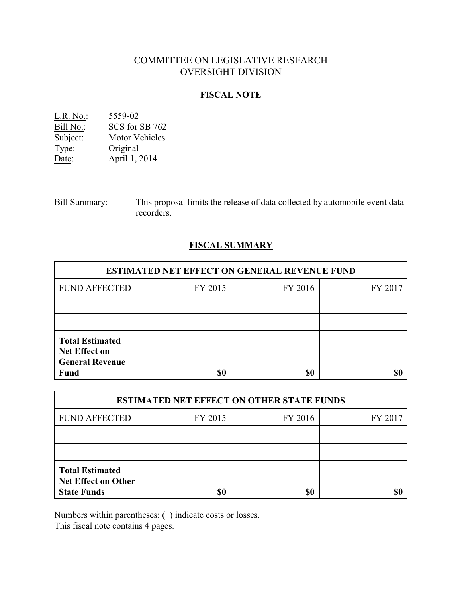# COMMITTEE ON LEGISLATIVE RESEARCH OVERSIGHT DIVISION

# **FISCAL NOTE**

| $L.R. No.$ : | 5559-02               |
|--------------|-----------------------|
| Bill No.:    | SCS for SB 762        |
| Subject:     | <b>Motor Vehicles</b> |
| Type:        | Original              |
| Date:        | April 1, 2014         |

| <b>Bill Summary:</b> | This proposal limits the release of data collected by automobile event data |
|----------------------|-----------------------------------------------------------------------------|
|                      | recorders.                                                                  |

# **FISCAL SUMMARY**

| <b>ESTIMATED NET EFFECT ON GENERAL REVENUE FUND</b>                                     |         |         |         |  |
|-----------------------------------------------------------------------------------------|---------|---------|---------|--|
| <b>FUND AFFECTED</b>                                                                    | FY 2015 | FY 2016 | FY 2017 |  |
|                                                                                         |         |         |         |  |
|                                                                                         |         |         |         |  |
| <b>Total Estimated</b><br><b>Net Effect on</b><br><b>General Revenue</b><br><b>Fund</b> | \$0     | \$0     |         |  |

| <b>ESTIMATED NET EFFECT ON OTHER STATE FUNDS</b>                           |         |         |         |  |
|----------------------------------------------------------------------------|---------|---------|---------|--|
| <b>FUND AFFECTED</b>                                                       | FY 2015 | FY 2016 | FY 2017 |  |
|                                                                            |         |         |         |  |
|                                                                            |         |         |         |  |
| <b>Total Estimated</b><br><b>Net Effect on Other</b><br><b>State Funds</b> | \$0     | \$0     |         |  |

Numbers within parentheses: ( ) indicate costs or losses.

This fiscal note contains 4 pages.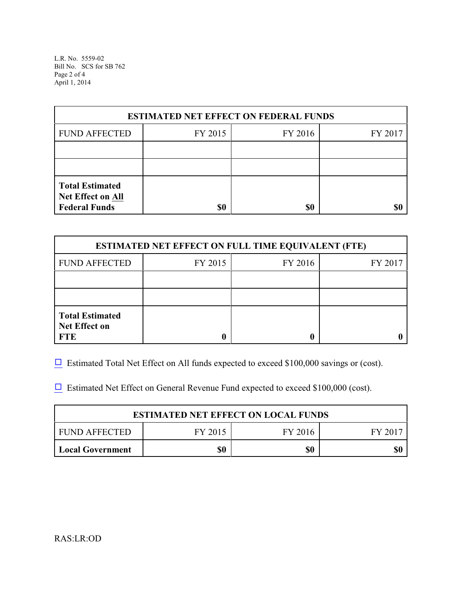L.R. No. 5559-02 Bill No. SCS for SB 762 Page 2 of 4 April 1, 2014

| <b>ESTIMATED NET EFFECT ON FEDERAL FUNDS</b>                        |         |         |         |  |
|---------------------------------------------------------------------|---------|---------|---------|--|
| <b>FUND AFFECTED</b>                                                | FY 2015 | FY 2016 | FY 2017 |  |
|                                                                     |         |         |         |  |
|                                                                     |         |         |         |  |
| <b>Total Estimated</b><br>Net Effect on All<br><b>Federal Funds</b> | \$0     | \$0     |         |  |

| <b>ESTIMATED NET EFFECT ON FULL TIME EQUIVALENT (FTE)</b>    |         |         |         |  |
|--------------------------------------------------------------|---------|---------|---------|--|
| <b>FUND AFFECTED</b>                                         | FY 2015 | FY 2016 | FY 2017 |  |
|                                                              |         |         |         |  |
|                                                              |         |         |         |  |
| <b>Total Estimated</b><br><b>Net Effect on</b><br><b>FTE</b> |         |         |         |  |

 $\Box$  Estimated Total Net Effect on All funds expected to exceed \$100,000 savings or (cost).

 $\Box$  Estimated Net Effect on General Revenue Fund expected to exceed \$100,000 (cost).

| <b>ESTIMATED NET EFFECT ON LOCAL FUNDS</b> |     |     |  |  |
|--------------------------------------------|-----|-----|--|--|
| FUND AFFECTED<br>FY 2015<br>FY 2016        |     |     |  |  |
| <b>Local Government</b>                    | \$0 | \$0 |  |  |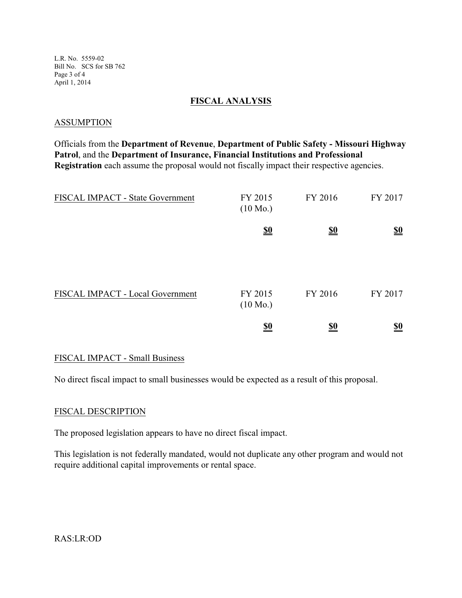L.R. No. 5559-02 Bill No. SCS for SB 762 Page 3 of 4 April 1, 2014

## **FISCAL ANALYSIS**

#### **ASSUMPTION**

Officials from the **Department of Revenue**, **Department of Public Safety - Missouri Highway Patrol**, and the **Department of Insurance, Financial Institutions and Professional Registration** each assume the proposal would not fiscally impact their respective agencies.

| FISCAL IMPACT - State Government | FY 2015<br>$(10 \text{ Mo.})$ | FY 2016    | FY 2017                       |
|----------------------------------|-------------------------------|------------|-------------------------------|
|                                  | $\underline{\underline{\$0}}$ | <u>\$0</u> | $\underline{\underline{\$0}}$ |
| FISCAL IMPACT - Local Government | FY 2015<br>$(10 \text{ Mo.})$ | FY 2016    | FY 2017                       |
|                                  | $\underline{\underline{\$0}}$ | <u>\$0</u> | <u>\$0</u>                    |

## FISCAL IMPACT - Small Business

No direct fiscal impact to small businesses would be expected as a result of this proposal.

## FISCAL DESCRIPTION

The proposed legislation appears to have no direct fiscal impact.

This legislation is not federally mandated, would not duplicate any other program and would not require additional capital improvements or rental space.